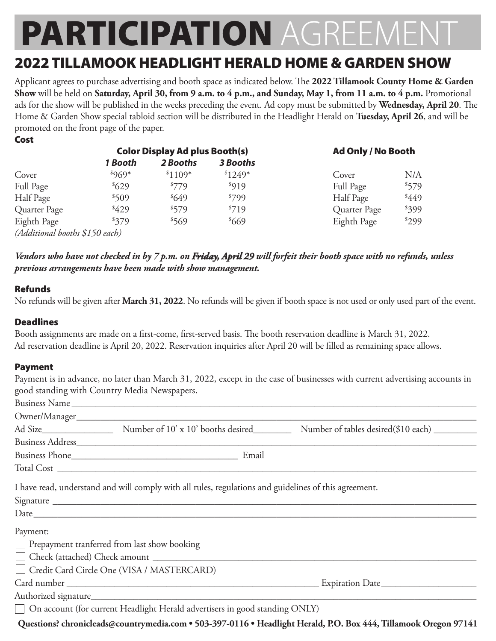# **PARTICIPATION AGRE**

### 2022 TILLAMOOK HEADLIGHT HERALD HOME & GARDEN SHOW

Applicant agrees to purchase advertising and booth space as indicated below. The **2022 Tillamook County Home & Garden Show** will be held on **Saturday, April 30, from 9 a.m. to 4 p.m., and Sunday, May 1, from 11 a.m. to 4 p.m.** Promotional ads for the show will be published in the weeks preceding the event. Ad copy must be submitted by **Wednesday, April 20**. The Home & Garden Show special tabloid section will be distributed in the Headlight Herald on **Tuesday, April 26**, and will be promoted on the front page of the paper.

|                                | <b>Color Display Ad plus Booth(s)</b> |          |          | <b>Ad Only / No Booth</b> |       |
|--------------------------------|---------------------------------------|----------|----------|---------------------------|-------|
|                                | 1 Booth                               | 2 Booths | 3 Booths |                           |       |
| Cover                          | ${}^{8}969*$                          | $$1109*$ | $$1249*$ | Cover                     | N/A   |
| Full Page                      | \$629                                 | \$779    | \$919    | Full Page                 | \$579 |
| Half Page                      | \$509                                 | 649      | \$799    | Half Page                 | 449   |
| Quarter Page                   | \$429                                 | \$579    | \$719    | Quarter Page              | \$399 |
| Eighth Page                    | \$379                                 | \$569    | \$669    | Eighth Page               | \$299 |
| (Additional booths \$150 each) |                                       |          |          |                           |       |

*Vendors who have not checked in by 7 p.m. on Friday, April 29 will forfeit their booth space with no refunds, unless previous arrangements have been made with show management.*

#### Refunds

No refunds will be given after **March 31, 2022**. No refunds will be given if booth space is not used or only used part of the event.

#### **Deadlines**

Booth assignments are made on a first-come, first-served basis. The booth reservation deadline is March 31, 2022. Ad reservation deadline is April 20, 2022. Reservation inquiries after April 20 will be filled as remaining space allows.

#### Payment

Payment is in advance, no later than March 31, 2022, except in the case of businesses with current advertising accounts in good standing with Country Media Newspapers.

|          | I have read, understand and will comply with all rules, regulations and guidelines of this agreement. |                                                                                                                  |  |  |
|----------|-------------------------------------------------------------------------------------------------------|------------------------------------------------------------------------------------------------------------------|--|--|
|          |                                                                                                       |                                                                                                                  |  |  |
|          |                                                                                                       |                                                                                                                  |  |  |
| Payment: |                                                                                                       |                                                                                                                  |  |  |
|          | <b>Prepayment tranferred from last show booking</b>                                                   |                                                                                                                  |  |  |
|          |                                                                                                       |                                                                                                                  |  |  |
|          | Credit Card Circle One (VISA / MASTERCARD)                                                            |                                                                                                                  |  |  |
|          |                                                                                                       |                                                                                                                  |  |  |
|          |                                                                                                       |                                                                                                                  |  |  |
|          | □ On account (for current Headlight Herald advertisers in good standing ONLY)                         |                                                                                                                  |  |  |
|          |                                                                                                       | Questions? chronicleads@countrymedia.com • 503-397-0116 • Headlight Herald, P.O. Box 444, Tillamook Oregon 97141 |  |  |